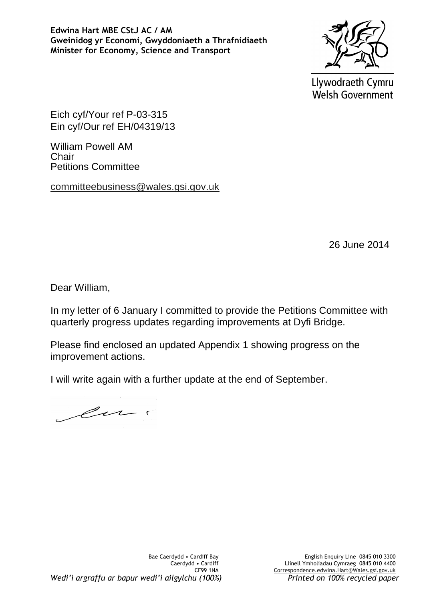**Edwina Hart MBE CStJ AC / AM Gweinidog yr Economi, Gwyddoniaeth a Thrafnidiaeth Minister for Economy, Science and Transport**



Llywodraeth Cymru Welsh Government

Eich cyf/Your ref P-03-315 Ein cyf/Our ref EH/04319/13

William Powell AM Chair Petitions Committee

committeebusiness@wales.gsi.gov.uk

26 June 2014

Dear William,

In my letter of 6 January I committed to provide the Petitions Committee with quarterly progress updates regarding improvements at Dyfi Bridge.

Please find enclosed an updated Appendix 1 showing progress on the improvement actions.

I will write again with a further update at the end of September.

cu.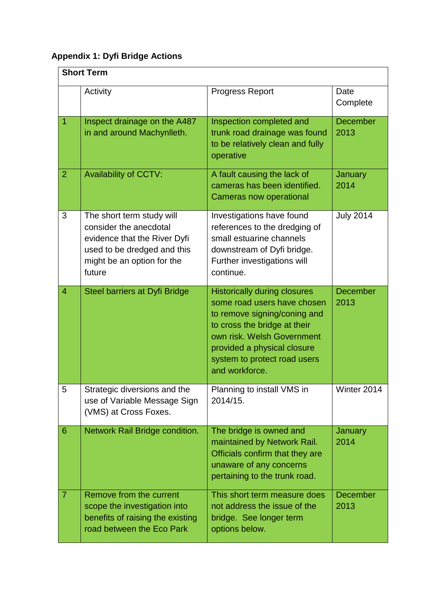## **Appendix 1: Dyfi Bridge Actions**

| <b>Short Term</b> |                                                                                                                                                            |                                                                                                                                                                                                                                                   |                         |  |
|-------------------|------------------------------------------------------------------------------------------------------------------------------------------------------------|---------------------------------------------------------------------------------------------------------------------------------------------------------------------------------------------------------------------------------------------------|-------------------------|--|
|                   | Activity                                                                                                                                                   | <b>Progress Report</b>                                                                                                                                                                                                                            | Date<br>Complete        |  |
| 1                 | Inspect drainage on the A487<br>in and around Machynlleth.                                                                                                 | Inspection completed and<br>trunk road drainage was found<br>to be relatively clean and fully<br>operative                                                                                                                                        | <b>December</b><br>2013 |  |
| 2                 | <b>Availability of CCTV:</b>                                                                                                                               | A fault causing the lack of<br>cameras has been identified.<br><b>Cameras now operational</b>                                                                                                                                                     | <b>January</b><br>2014  |  |
| 3                 | The short term study will<br>consider the anecdotal<br>evidence that the River Dyfi<br>used to be dredged and this<br>might be an option for the<br>future | Investigations have found<br>references to the dredging of<br>small estuarine channels<br>downstream of Dyfi bridge.<br>Further investigations will<br>continue.                                                                                  | <b>July 2014</b>        |  |
| $\overline{4}$    | Steel barriers at Dyfi Bridge                                                                                                                              | <b>Historically during closures</b><br>some road users have chosen<br>to remove signing/coning and<br>to cross the bridge at their<br>own risk. Welsh Government<br>provided a physical closure<br>system to protect road users<br>and workforce. | <b>December</b><br>2013 |  |
| 5                 | Strategic diversions and the<br>use of Variable Message Sign<br>(VMS) at Cross Foxes.                                                                      | Planning to install VMS in<br>2014/15.                                                                                                                                                                                                            | Winter 2014             |  |
| 6                 | Network Rail Bridge condition.                                                                                                                             | The bridge is owned and<br>maintained by Network Rail.<br>Officials confirm that they are<br>unaware of any concerns<br>pertaining to the trunk road.                                                                                             | <b>January</b><br>2014  |  |
| $\overline{7}$    | Remove from the current<br>scope the investigation into<br>benefits of raising the existing<br>road between the Eco Park                                   | This short term measure does<br>not address the issue of the<br>bridge. See longer term<br>options below.                                                                                                                                         | <b>December</b><br>2013 |  |